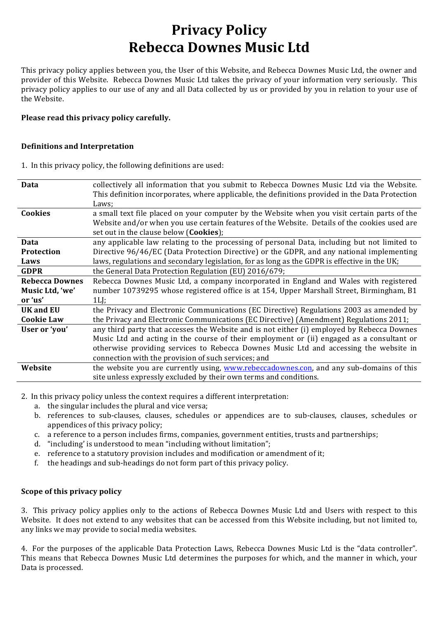# **Privacy Policy Rebecca Downes Music Ltd**

This privacy policy applies between you, the User of this Website, and Rebecca Downes Music Ltd, the owner and provider of this Website. Rebecca Downes Music Ltd takes the privacy of your information very seriously. This privacy policy applies to our use of any and all Data collected by us or provided by you in relation to your use of the Website.

#### Please read this privacy policy carefully.

#### **Definitions and Interpretation**

1. In this privacy policy, the following definitions are used:

| Data                  | collectively all information that you submit to Rebecca Downes Music Ltd via the Website.       |
|-----------------------|-------------------------------------------------------------------------------------------------|
|                       | This definition incorporates, where applicable, the definitions provided in the Data Protection |
|                       | Laws;                                                                                           |
| <b>Cookies</b>        | a small text file placed on your computer by the Website when you visit certain parts of the    |
|                       | Website and/or when you use certain features of the Website. Details of the cookies used are    |
|                       | set out in the clause below ( <b>Cookies</b> );                                                 |
| Data                  | any applicable law relating to the processing of personal Data, including but not limited to    |
| <b>Protection</b>     | Directive 96/46/EC (Data Protection Directive) or the GDPR, and any national implementing       |
| Laws                  | laws, regulations and secondary legislation, for as long as the GDPR is effective in the UK;    |
| <b>GDPR</b>           | the General Data Protection Regulation (EU) 2016/679;                                           |
| <b>Rebecca Downes</b> | Rebecca Downes Music Ltd, a company incorporated in England and Wales with registered           |
| Music Ltd, 'we'       | number 10739295 whose registered office is at 154, Upper Marshall Street, Birmingham, B1        |
| or 'us'               | $1L$ .                                                                                          |
| UK and EU             | the Privacy and Electronic Communications (EC Directive) Regulations 2003 as amended by         |
| <b>Cookie Law</b>     | the Privacy and Electronic Communications (EC Directive) (Amendment) Regulations 2011;          |
| User or 'you'         | any third party that accesses the Website and is not either (i) employed by Rebecca Downes      |
|                       | Music Ltd and acting in the course of their employment or (ii) engaged as a consultant or       |
|                       | otherwise providing services to Rebecca Downes Music Ltd and accessing the website in           |
|                       | connection with the provision of such services; and                                             |
| Website               | the website you are currently using, www.rebeccadownes.con, and any sub-domains of this         |
|                       | site unless expressly excluded by their own terms and conditions.                               |
|                       |                                                                                                 |

2. In this privacy policy unless the context requires a different interpretation:

- a. the singular includes the plural and vice versa;
- b. references to sub-clauses, clauses, schedules or appendices are to sub-clauses, clauses, schedules or appendices of this privacy policy;
- c. a reference to a person includes firms, companies, government entities, trusts and partnerships;
- d. "including' is understood to mean "including without limitation";
- e. reference to a statutory provision includes and modification or amendment of it;
- f. the headings and sub-headings do not form part of this privacy policy.

## **Scope of this privacy policy**

3. This privacy policy applies only to the actions of Rebecca Downes Music Ltd and Users with respect to this Website. It does not extend to any websites that can be accessed from this Website including, but not limited to, any links we may provide to social media websites.

4. For the purposes of the applicable Data Protection Laws, Rebecca Downes Music Ltd is the "data controller". This means that Rebecca Downes Music Ltd determines the purposes for which, and the manner in which, your Data is processed.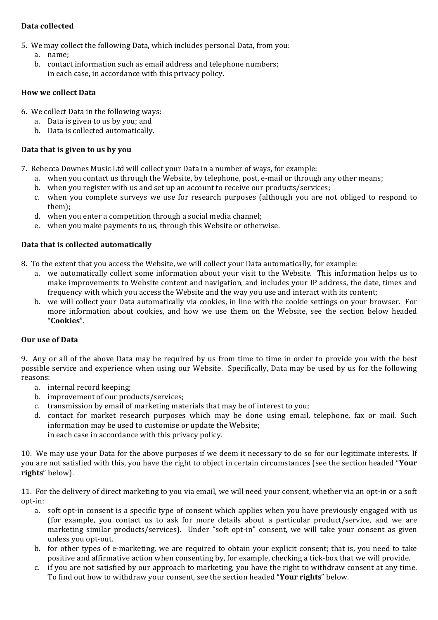# **Data collected**

- 5. We may collect the following Data, which includes personal Data, from you:
	- a. name;
	- b. contact information such as email address and telephone numbers; in each case, in accordance with this privacy policy.

# **How we collect Data**

- 6. We collect Data in the following ways:
	- a. Data is given to us by you; and
	- b. Data is collected automatically.

# Data that is given to us by you

- 7. Rebecca Downes Music Ltd will collect your Data in a number of ways, for example:
	- a. when you contact us through the Website, by telephone, post, e-mail or through any other means;
	- b. when you register with us and set up an account to receive our products/services;
	- c. when you complete surveys we use for research purposes (although you are not obliged to respond to them);
	- d. when you enter a competition through a social media channel:
	- e. when you make payments to us, through this Website or otherwise.

# **Data that is collected automatically**

- 8. To the extent that you access the Website, we will collect your Data automatically, for example:
	- a. we automatically collect some information about your visit to the Website. This information helps us to make improvements to Website content and navigation, and includes your IP address, the date, times and frequency with which you access the Website and the way you use and interact with its content;
	- b. we will collect your Data automatically via cookies, in line with the cookie settings on your browser. For more information about cookies, and how we use them on the Website, see the section below headed "**Cookies**".

# **Our use of Data**

9. Any or all of the above Data may be required by us from time to time in order to provide you with the best possible service and experience when using our Website. Specifically, Data may be used by us for the following reasons:

- a. internal record keeping;
- b. improvement of our products/services:
- c. transmission by email of marketing materials that may be of interest to you;
- d. contact for market research purposes which may be done using email, telephone, fax or mail. Such information may be used to customise or update the Website; in each case in accordance with this privacy policy.

10. We may use your Data for the above purposes if we deem it necessary to do so for our legitimate interests. If you are not satisfied with this, you have the right to object in certain circumstances (see the section headed "Your rights" below).

11. For the delivery of direct marketing to you via email, we will need your consent, whether via an opt-in or a soft opt-in:

- a. soft opt-in consent is a specific type of consent which applies when you have previously engaged with us (for example, you contact us to ask for more details about a particular product/service, and we are marketing similar products/services). Under "soft opt-in" consent, we will take your consent as given unless vou opt-out.
- b. for other types of e-marketing, we are required to obtain your explicit consent; that is, you need to take positive and affirmative action when consenting by, for example, checking a tick-box that we will provide.
- c. if you are not satisfied by our approach to marketing, you have the right to withdraw consent at any time. To find out how to withdraw your consent, see the section headed "Your rights" below.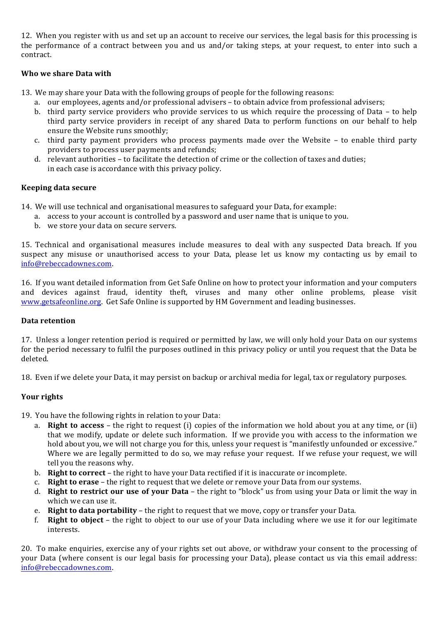12. When you register with us and set up an account to receive our services, the legal basis for this processing is the performance of a contract between you and us and/or taking steps, at your request, to enter into such a contract.

# **Who we share Data with**

- 13. We may share your Data with the following groups of people for the following reasons:
	- a. our employees, agents and/or professional advisers to obtain advice from professional advisers;
	- b. third party service providers who provide services to us which require the processing of Data to help third party service providers in receipt of any shared Data to perform functions on our behalf to help ensure the Website runs smoothly;
	- c. third party payment providers who process payments made over the Website to enable third party providers to process user payments and refunds;
	- d. relevant authorities to facilitate the detection of crime or the collection of taxes and duties; in each case is accordance with this privacy policy.

## **Keeping data secure**

14. We will use technical and organisational measures to safeguard your Data, for example:

- a. access to your account is controlled by a password and user name that is unique to you.
- b. we store your data on secure servers.

15. Technical and organisational measures include measures to deal with any suspected Data breach. If you suspect any misuse or unauthorised access to your Data, please let us know my contacting us by email to info@rebeccadownes.com.

16. If you want detailed information from Get Safe Online on how to protect your information and your computers and devices against fraud, identity theft, viruses and many other online problems, please visit www.getsafeonline.org. Get Safe Online is supported by HM Government and leading businesses.

## **Data retention**

17. Unless a longer retention period is required or permitted by law, we will only hold your Data on our systems for the period necessary to fulfil the purposes outlined in this privacy policy or until you request that the Data be deleted.

18. Even if we delete your Data, it may persist on backup or archival media for legal, tax or regulatory purposes.

# **Your rights**

19. You have the following rights in relation to your Data:

- a. **Right to access** the right to request (i) copies of the information we hold about you at any time, or (ii) that we modify, update or delete such information. If we provide you with access to the information we hold about you, we will not charge you for this, unless your request is "manifestly unfounded or excessive." Where we are legally permitted to do so, we may refuse your request. If we refuse your request, we will tell you the reasons why.
- b. **Right to correct** the right to have your Data rectified if it is inaccurate or incomplete.
- c. **Right to erase** the right to request that we delete or remove your Data from our systems.
- d. **Right to restrict our use of your Data** the right to "block" us from using your Data or limit the way in which we can use it.
- e. **Right to data portability** the right to request that we move, copy or transfer your Data.
- f. **Right to object** the right to object to our use of your Data including where we use it for our legitimate interests.

20. To make enquiries, exercise any of your rights set out above, or withdraw your consent to the processing of your Data (where consent is our legal basis for processing your Data), please contact us via this email address: info@rebeccadownes.com.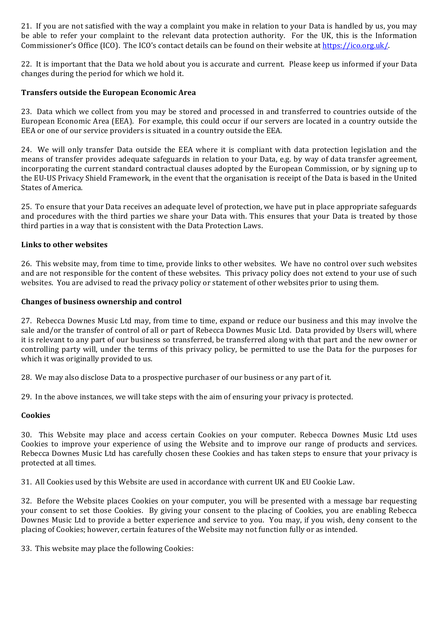21. If you are not satisfied with the way a complaint you make in relation to your Data is handled by us, you may be able to refer your complaint to the relevant data protection authority. For the UK, this is the Information Commissioner's Office (ICO). The ICO's contact details can be found on their website at https://ico.org.uk/.

22. It is important that the Data we hold about you is accurate and current. Please keep us informed if your Data changes during the period for which we hold it.

## **Transfers outside the European Economic Area**

23. Data which we collect from you may be stored and processed in and transferred to countries outside of the European Economic Area (EEA). For example, this could occur if our servers are located in a country outside the EEA or one of our service providers is situated in a country outside the EEA.

24. We will only transfer Data outside the EEA where it is compliant with data protection legislation and the means of transfer provides adequate safeguards in relation to your Data, e.g. by way of data transfer agreement, incorporating the current standard contractual clauses adopted by the European Commission, or by signing up to the EU-US Privacy Shield Framework, in the event that the organisation is receipt of the Data is based in the United States of America.

25. To ensure that your Data receives an adequate level of protection, we have put in place appropriate safeguards and procedures with the third parties we share your Data with. This ensures that your Data is treated by those third parties in a way that is consistent with the Data Protection Laws.

#### Links to other websites

26. This website may, from time to time, provide links to other websites. We have no control over such websites and are not responsible for the content of these websites. This privacy policy does not extend to your use of such websites. You are advised to read the privacy policy or statement of other websites prior to using them.

#### **Changes of business ownership and control**

27. Rebecca Downes Music Ltd may, from time to time, expand or reduce our business and this may involve the sale and/or the transfer of control of all or part of Rebecca Downes Music Ltd. Data provided by Users will, where it is relevant to any part of our business so transferred, be transferred along with that part and the new owner or controlling party will, under the terms of this privacy policy, be permitted to use the Data for the purposes for which it was originally provided to us.

28. We may also disclose Data to a prospective purchaser of our business or any part of it.

29. In the above instances, we will take steps with the aim of ensuring your privacy is protected.

#### **Cookies**

30. This Website may place and access certain Cookies on your computer. Rebecca Downes Music Ltd uses Cookies to improve your experience of using the Website and to improve our range of products and services. Rebecca Downes Music Ltd has carefully chosen these Cookies and has taken steps to ensure that your privacy is protected at all times.

31. All Cookies used by this Website are used in accordance with current UK and EU Cookie Law.

32. Before the Website places Cookies on your computer, you will be presented with a message bar requesting your consent to set those Cookies. By giving your consent to the placing of Cookies, you are enabling Rebecca Downes Music Ltd to provide a better experience and service to you. You may, if you wish, deny consent to the placing of Cookies; however, certain features of the Website may not function fully or as intended.

33. This website may place the following Cookies: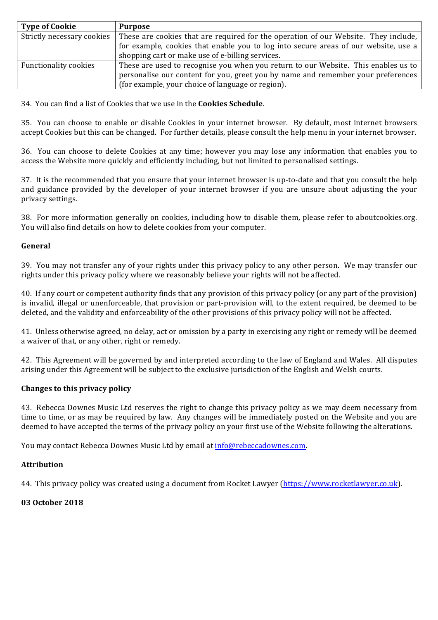| <b>Type of Cookie</b>        | <b>Purpose</b>                                                                      |
|------------------------------|-------------------------------------------------------------------------------------|
| Strictly necessary cookies   | These are cookies that are required for the operation of our Website. They include, |
|                              | for example, cookies that enable you to log into secure areas of our website, use a |
|                              | shopping cart or make use of e-billing services.                                    |
| <b>Functionality cookies</b> | These are used to recognise you when you return to our Website. This enables us to  |
|                              | personalise our content for you, greet you by name and remember your preferences    |
|                              | (for example, your choice of language or region).                                   |

34. You can find a list of Cookies that we use in the **Cookies Schedule**.

35. You can choose to enable or disable Cookies in your internet browser. By default, most internet browsers accept Cookies but this can be changed. For further details, please consult the help menu in your internet browser.

36. You can choose to delete Cookies at any time; however you may lose any information that enables you to access the Website more quickly and efficiently including, but not limited to personalised settings.

37. It is the recommended that you ensure that your internet browser is up-to-date and that you consult the help and guidance provided by the developer of your internet browser if you are unsure about adjusting the your privacy settings.

38. For more information generally on cookies, including how to disable them, please refer to aboutcookies.org. You will also find details on how to delete cookies from your computer.

#### **General**

39. You may not transfer any of your rights under this privacy policy to any other person. We may transfer our rights under this privacy policy where we reasonably believe your rights will not be affected.

40. If any court or competent authority finds that any provision of this privacy policy (or any part of the provision) is invalid, illegal or unenforceable, that provision or part-provision will, to the extent required, be deemed to be deleted, and the validity and enforceability of the other provisions of this privacy policy will not be affected.

41. Unless otherwise agreed, no delay, act or omission by a party in exercising any right or remedy will be deemed a waiver of that, or any other, right or remedy.

42. This Agreement will be governed by and interpreted according to the law of England and Wales. All disputes arising under this Agreement will be subject to the exclusive jurisdiction of the English and Welsh courts.

#### **Changes to this privacy policy**

43. Rebecca Downes Music Ltd reserves the right to change this privacy policy as we may deem necessary from time to time, or as may be required by law. Any changes will be immediately posted on the Website and you are deemed to have accepted the terms of the privacy policy on your first use of the Website following the alterations.

You may contact Rebecca Downes Music Ltd by email at info@rebeccadownes.com.

#### **Attribution**

44. This privacy policy was created using a document from Rocket Lawyer (https://www.rocketlawyer.co.uk).

#### **03 October 2018**